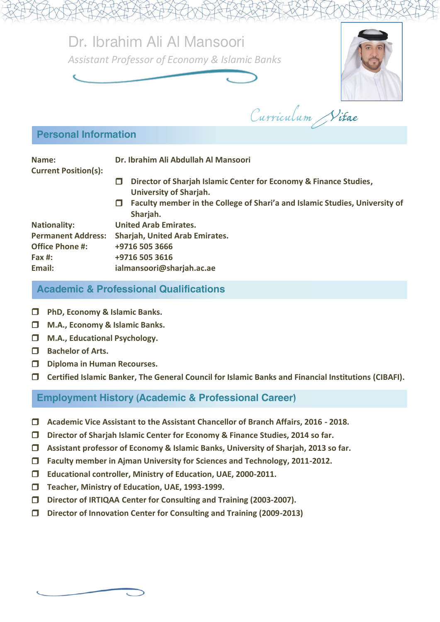Dr. Ibrahim Ali Al Mansoori *Assistant Professor of Economy & Islamic Banks*



Curriculum Vitae

## Personal Information

| Name:<br><b>Current Position(s):</b> |   | Dr. Ibrahim Ali Abdullah Al Mansoori                                                               |  |
|--------------------------------------|---|----------------------------------------------------------------------------------------------------|--|
|                                      | П | Director of Sharjah Islamic Center for Economy & Finance Studies,<br><b>University of Sharjah.</b> |  |
|                                      | п | Faculty member in the College of Shari'a and Islamic Studies, University of<br>Sharjah.            |  |

| <b>Nationality:</b>       | <b>United Arab Emirates.</b>          |
|---------------------------|---------------------------------------|
| <b>Permanent Address:</b> | <b>Sharjah, United Arab Emirates.</b> |
| <b>Office Phone #:</b>    | +9716 505 3666                        |
| Fax #:                    | +9716 505 3616                        |
| Email:                    | ialmansoori@sharjah.ac.ae             |
|                           |                                       |

## Academic & Professional Qualifications

- **PhD, Economy & Islamic Banks.**
- **M.A., Economy & Islamic Banks.**
- **M.A., Educational Psychology.**
- **Bachelor of Arts.**
- **Diploma in Human Recourses.**
- **Certified Islamic Banker, The General Council for Islamic Banks and Financial Institutions (CIBAFI).**

## Employment History (Academic & Professional Career)

- **Academic Vice Assistant to the Assistant Chancellor of Branch Affairs, 2016 - 2018.**
- **Director of Sharjah Islamic Center for Economy & Finance Studies, 2014 so far.**
- **Assistant professor of Economy & Islamic Banks, University of Sharjah, 2013 so far.**
- **Faculty member in Ajman University for Sciences and Technology, 2011-2012.**
- **Educational controller, Ministry of Education, UAE, 2000-2011.**
- **Teacher, Ministry of Education, UAE, 1993-1999.**
- **Director of IRTIQAA Center for Consulting and Training (2003-2007).**
- **Director of Innovation Center for Consulting and Training (2009-2013)**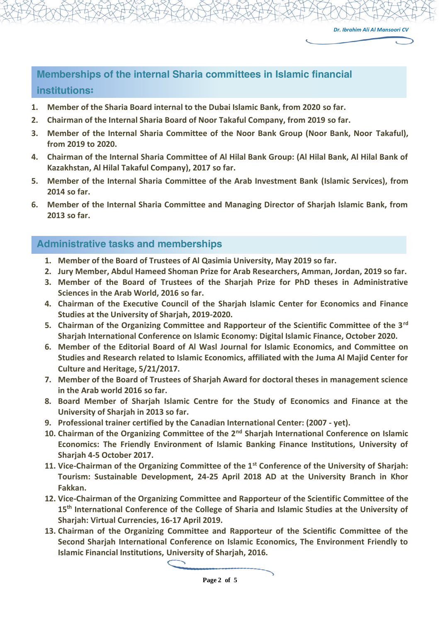# Memberships of the internal Sharia committees in Islamic financial institutions:

- **1. Member of the Sharia Board internal to the Dubai Islamic Bank, from 2020 so far.**
- **2. Chairman of the Internal Sharia Board of Noor Takaful Company, from 2019 so far.**
- **3. Member of the Internal Sharia Committee of the Noor Bank Group (Noor Bank, Noor Takaful), from 2019 to 2020.**
- **4. Chairman of the Internal Sharia Committee of Al Hilal Bank Group: (Al Hilal Bank, Al Hilal Bank of Kazakhstan, Al Hilal Takaful Company), 2017 so far.**
- **5. Member of the Internal Sharia Committee of the Arab Investment Bank (Islamic Services), from 2014 so far.**
- **6. Member of the Internal Sharia Committee and Managing Director of Sharjah Islamic Bank, from 2013 so far.**

#### Administrative tasks and memberships

- **1. Member of the Board of Trustees of Al Qasimia University, May 2019 so far.**
- **2. Jury Member, Abdul Hameed Shoman Prize for Arab Researchers, Amman, Jordan, 2019 so far.**
- **3. Member of the Board of Trustees of the Sharjah Prize for PhD theses in Administrative Sciences in the Arab World, 2016 so far.**
- **4. Chairman of the Executive Council of the Sharjah Islamic Center for Economics and Finance Studies at the University of Sharjah, 2019-2020.**
- **5. Chairman of the Organizing Committee and Rapporteur of the Scientific Committee of the 3rd Sharjah International Conference on Islamic Economy: Digital Islamic Finance, October 2020.**
- **6. Member of the Editorial Board of Al Wasl Journal for Islamic Economics, and Committee on Studies and Research related to Islamic Economics, affiliated with the Juma Al Majid Center for Culture and Heritage, 5/21/2017.**
- **7. Member of the Board of Trustees of Sharjah Award for doctoral theses in management science in the Arab world 2016 so far.**
- **8. Board Member of Sharjah Islamic Centre for the Study of Economics and Finance at the University of Sharjah in 2013 so far.**
- **9. Professional trainer certified by the Canadian International Center: (2007 - yet).**
- **10. Chairman of the Organizing Committee of the 2nd Sharjah International Conference on Islamic Economics: The Friendly Environment of Islamic Banking Finance Institutions, University of Sharjah 4-5 October 2017.**
- **11. Vice-Chairman of the Organizing Committee of the 1st Conference of the University of Sharjah: Tourism: Sustainable Development, 24-25 April 2018 AD at the University Branch in Khor Fakkan.**
- **12. Vice-Chairman of the Organizing Committee and Rapporteur of the Scientific Committee of the 15th International Conference of the College of Sharia and Islamic Studies at the University of Sharjah: Virtual Currencies, 16-17 April 2019.**
- **13. Chairman of the Organizing Committee and Rapporteur of the Scientific Committee of the Second Sharjah International Conference on Islamic Economics, The Environment Friendly to Islamic Financial Institutions, University of Sharjah, 2016.**

**Page 2 of 5**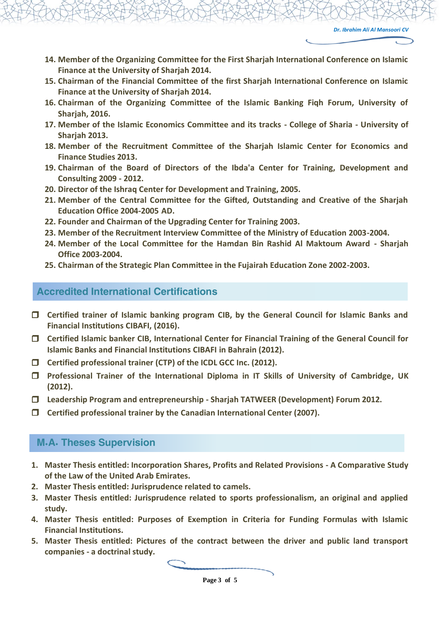- **14. Member of the Organizing Committee for the First Sharjah International Conference on Islamic Finance at the University of Sharjah 2014.**
- **15. Chairman of the Financial Committee of the first Sharjah International Conference on Islamic Finance at the University of Sharjah 2014.**
- **16. Chairman of the Organizing Committee of the Islamic Banking Fiqh Forum, University of Sharjah, 2016.**
- **17. Member of the Islamic Economics Committee and its tracks - College of Sharia - University of Sharjah 2013.**
- **18. Member of the Recruitment Committee of the Sharjah Islamic Center for Economics and Finance Studies 2013.**
- **19. Chairman of the Board of Directors of the Ibda'a Center for Training, Development and Consulting 2009 - 2012.**
- **20. Director of the Ishraq Center for Development and Training, 2005.**
- **21. Member of the Central Committee for the Gifted, Outstanding and Creative of the Sharjah Education Office 2004-2005 AD.**
- **22. Founder and Chairman of the Upgrading Center for Training 2003.**
- **23. Member of the Recruitment Interview Committee of the Ministry of Education 2003-2004.**
- **24. Member of the Local Committee for the Hamdan Bin Rashid Al Maktoum Award - Sharjah Office 2003-2004.**
- **25. Chairman of the Strategic Plan Committee in the Fujairah Education Zone 2002-2003.**

#### Accredited International Certifications

- **Certified trainer of Islamic banking program CIB, by the General Council for Islamic Banks and Financial Institutions CIBAFI, (2016).**
- **Certified Islamic banker CIB, International Center for Financial Training of the General Council for Islamic Banks and Financial Institutions CIBAFI in Bahrain (2012).**
- **Certified professional trainer (CTP) of the ICDL GCC Inc. (2012).**
- **Professional Trainer of the International Diploma in IT Skills of University of Cambridge, UK (2012).**
- **Leadership Program and entrepreneurship - Sharjah TATWEER (Development) Forum 2012.**
- **Certified professional trainer by the Canadian International Center (2007).**

#### M.A. Theses Supervision

- **1. Master Thesis entitled: Incorporation Shares, Profits and Related Provisions - A Comparative Study of the Law of the United Arab Emirates.**
- **2. Master Thesis entitled: Jurisprudence related to camels.**
- **3. Master Thesis entitled: Jurisprudence related to sports professionalism, an original and applied study.**
- **4. Master Thesis entitled: Purposes of Exemption in Criteria for Funding Formulas with Islamic Financial Institutions.**
- **5. Master Thesis entitled: Pictures of the contract between the driver and public land transport companies - a doctrinal study.**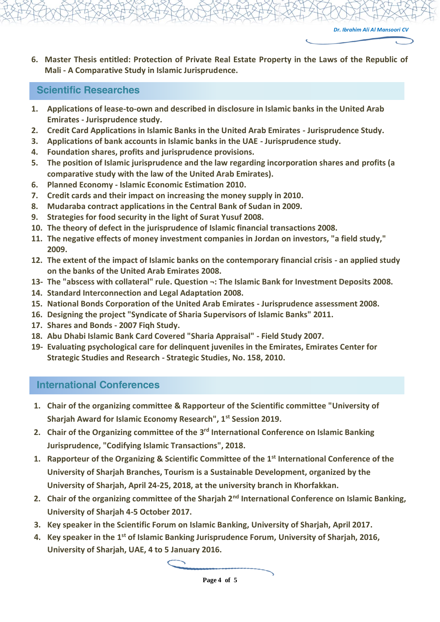**6. Master Thesis entitled: Protection of Private Real Estate Property in the Laws of the Republic of Mali - A Comparative Study in Islamic Jurisprudence.**

#### Scientific Researches

- **1. Applications of lease-to-own and described in disclosure in Islamic banks in the United Arab Emirates - Jurisprudence study.**
- **2. Credit Card Applications in Islamic Banks in the United Arab Emirates - Jurisprudence Study.**
- **3. Applications of bank accounts in Islamic banks in the UAE - Jurisprudence study.**
- **4. Foundation shares, profits and jurisprudence provisions.**
- **5. The position of Islamic jurisprudence and the law regarding incorporation shares and profits (a comparative study with the law of the United Arab Emirates).**
- **6. Planned Economy - Islamic Economic Estimation 2010.**
- **7. Credit cards and their impact on increasing the money supply in 2010.**
- **8. Mudaraba contract applications in the Central Bank of Sudan in 2009.**
- **9. Strategies for food security in the light of Surat Yusuf 2008.**
- **10. The theory of defect in the jurisprudence of Islamic financial transactions 2008.**
- **11. The negative effects of money investment companies in Jordan on investors, "a field study," 2009.**
- **12. The extent of the impact of Islamic banks on the contemporary financial crisis - an applied study on the banks of the United Arab Emirates 2008.**
- **13- The "abscess with collateral" rule. Question ¬: The Islamic Bank for Investment Deposits 2008.**
- **14. Standard Interconnection and Legal Adaptation 2008.**
- **15. National Bonds Corporation of the United Arab Emirates - Jurisprudence assessment 2008.**
- **16. Designing the project "Syndicate of Sharia Supervisors of Islamic Banks" 2011.**
- **17. Shares and Bonds - 2007 Fiqh Study.**
- **18. Abu Dhabi Islamic Bank Card Covered "Sharia Appraisal" - Field Study 2007.**
- **19- Evaluating psychological care for delinquent juveniles in the Emirates, Emirates Center for Strategic Studies and Research - Strategic Studies, No. 158, 2010.**

#### International Conferences

- **1. Chair of the organizing committee & Rapporteur of the Scientific committee "University of Sharjah Award for Islamic Economy Research", 1st Session 2019.**
- **2. Chair of the Organizing committee of the 3 rd International Conference on Islamic Banking Jurisprudence, "Codifying Islamic Transactions", 2018.**
- **1. Rapporteur of the Organizing & Scientific Committee of the 1 st International Conference of the University of Sharjah Branches, Tourism is a Sustainable Development, organized by the University of Sharjah, April 24-25, 2018, at the university branch in Khorfakkan.**
- 2. Chair of the organizing committee of the Sharjah 2<sup>nd</sup> International Conference on Islamic Banking, **University of Sharjah 4-5 October 2017.**
- **3. Key speaker in the Scientific Forum on Islamic Banking, University of Sharjah, April 2017.**
- **4. Key speaker in the 1 st of Islamic Banking Jurisprudence Forum, University of Sharjah, 2016, University of Sharjah, UAE, 4 to 5 January 2016.**

**Page 4 of 5**